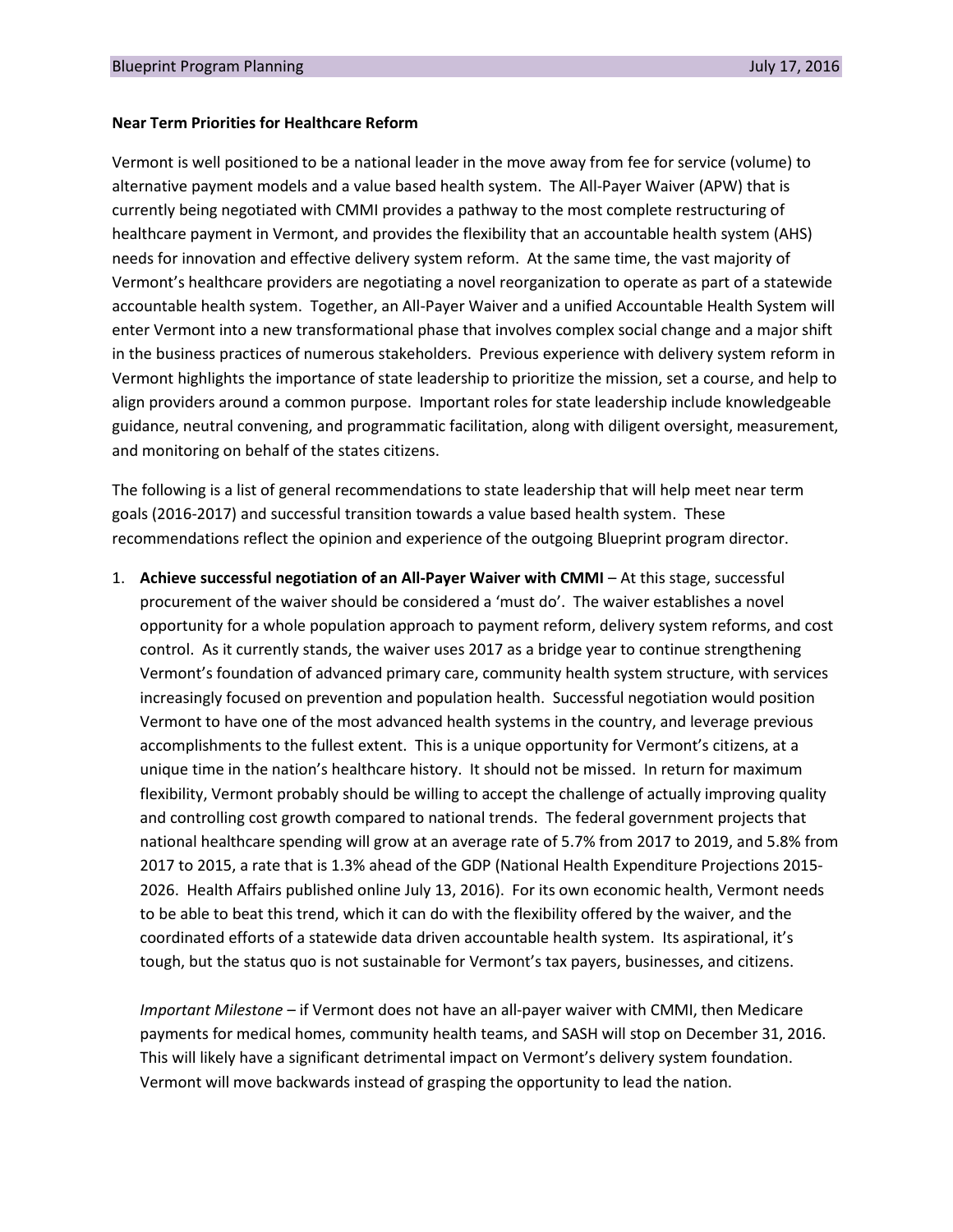#### **Near Term Priorities for Healthcare Reform**

Vermont is well positioned to be a national leader in the move away from fee for service (volume) to alternative payment models and a value based health system. The All-Payer Waiver (APW) that is currently being negotiated with CMMI provides a pathway to the most complete restructuring of healthcare payment in Vermont, and provides the flexibility that an accountable health system (AHS) needs for innovation and effective delivery system reform. At the same time, the vast majority of Vermont's healthcare providers are negotiating a novel reorganization to operate as part of a statewide accountable health system. Together, an All-Payer Waiver and a unified Accountable Health System will enter Vermont into a new transformational phase that involves complex social change and a major shift in the business practices of numerous stakeholders. Previous experience with delivery system reform in Vermont highlights the importance of state leadership to prioritize the mission, set a course, and help to align providers around a common purpose. Important roles for state leadership include knowledgeable guidance, neutral convening, and programmatic facilitation, along with diligent oversight, measurement, and monitoring on behalf of the states citizens.

The following is a list of general recommendations to state leadership that will help meet near term goals (2016-2017) and successful transition towards a value based health system. These recommendations reflect the opinion and experience of the outgoing Blueprint program director.

1. **Achieve successful negotiation of an All-Payer Waiver with CMMI** – At this stage, successful procurement of the waiver should be considered a 'must do'. The waiver establishes a novel opportunity for a whole population approach to payment reform, delivery system reforms, and cost control. As it currently stands, the waiver uses 2017 as a bridge year to continue strengthening Vermont's foundation of advanced primary care, community health system structure, with services increasingly focused on prevention and population health. Successful negotiation would position Vermont to have one of the most advanced health systems in the country, and leverage previous accomplishments to the fullest extent. This is a unique opportunity for Vermont's citizens, at a unique time in the nation's healthcare history. It should not be missed. In return for maximum flexibility, Vermont probably should be willing to accept the challenge of actually improving quality and controlling cost growth compared to national trends. The federal government projects that national healthcare spending will grow at an average rate of 5.7% from 2017 to 2019, and 5.8% from 2017 to 2015, a rate that is 1.3% ahead of the GDP (National Health Expenditure Projections 2015- 2026. Health Affairs published online July 13, 2016). For its own economic health, Vermont needs to be able to beat this trend, which it can do with the flexibility offered by the waiver, and the coordinated efforts of a statewide data driven accountable health system. Its aspirational, it's tough, but the status quo is not sustainable for Vermont's tax payers, businesses, and citizens.

*Important Milestone* – if Vermont does not have an all-payer waiver with CMMI, then Medicare payments for medical homes, community health teams, and SASH will stop on December 31, 2016. This will likely have a significant detrimental impact on Vermont's delivery system foundation. Vermont will move backwards instead of grasping the opportunity to lead the nation.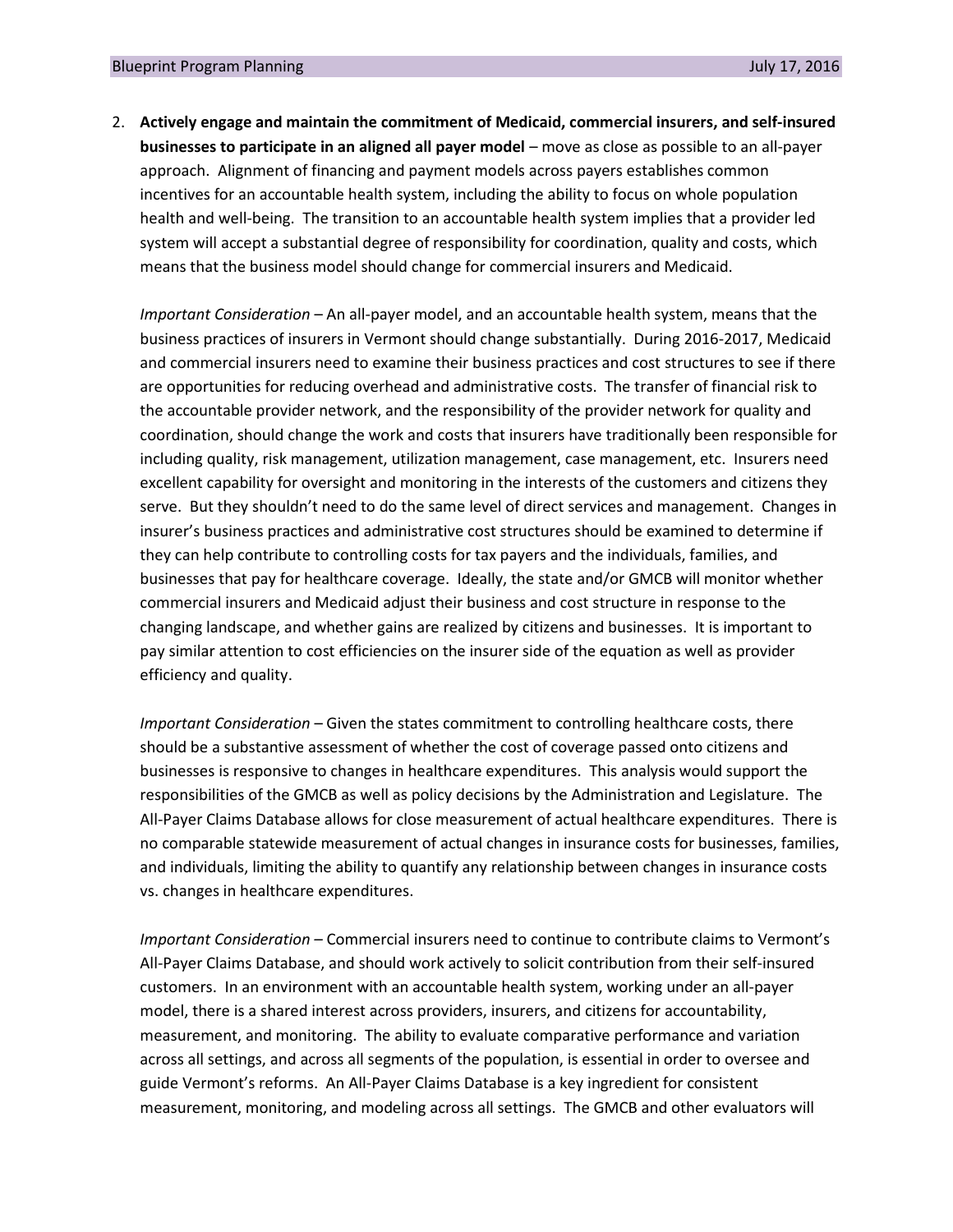2. **Actively engage and maintain the commitment of Medicaid, commercial insurers, and self-insured businesses to participate in an aligned all payer model** – move as close as possible to an all-payer approach. Alignment of financing and payment models across payers establishes common incentives for an accountable health system, including the ability to focus on whole population health and well-being. The transition to an accountable health system implies that a provider led system will accept a substantial degree of responsibility for coordination, quality and costs, which means that the business model should change for commercial insurers and Medicaid.

*Important Consideration* – An all-payer model, and an accountable health system, means that the business practices of insurers in Vermont should change substantially. During 2016-2017, Medicaid and commercial insurers need to examine their business practices and cost structures to see if there are opportunities for reducing overhead and administrative costs. The transfer of financial risk to the accountable provider network, and the responsibility of the provider network for quality and coordination, should change the work and costs that insurers have traditionally been responsible for including quality, risk management, utilization management, case management, etc. Insurers need excellent capability for oversight and monitoring in the interests of the customers and citizens they serve. But they shouldn't need to do the same level of direct services and management. Changes in insurer's business practices and administrative cost structures should be examined to determine if they can help contribute to controlling costs for tax payers and the individuals, families, and businesses that pay for healthcare coverage. Ideally, the state and/or GMCB will monitor whether commercial insurers and Medicaid adjust their business and cost structure in response to the changing landscape, and whether gains are realized by citizens and businesses. It is important to pay similar attention to cost efficiencies on the insurer side of the equation as well as provider efficiency and quality.

*Important Consideration* – Given the states commitment to controlling healthcare costs, there should be a substantive assessment of whether the cost of coverage passed onto citizens and businesses is responsive to changes in healthcare expenditures. This analysis would support the responsibilities of the GMCB as well as policy decisions by the Administration and Legislature. The All-Payer Claims Database allows for close measurement of actual healthcare expenditures. There is no comparable statewide measurement of actual changes in insurance costs for businesses, families, and individuals, limiting the ability to quantify any relationship between changes in insurance costs vs. changes in healthcare expenditures.

*Important Consideration –* Commercial insurers need to continue to contribute claims to Vermont's All-Payer Claims Database, and should work actively to solicit contribution from their self-insured customers. In an environment with an accountable health system, working under an all-payer model, there is a shared interest across providers, insurers, and citizens for accountability, measurement, and monitoring. The ability to evaluate comparative performance and variation across all settings, and across all segments of the population, is essential in order to oversee and guide Vermont's reforms. An All-Payer Claims Database is a key ingredient for consistent measurement, monitoring, and modeling across all settings. The GMCB and other evaluators will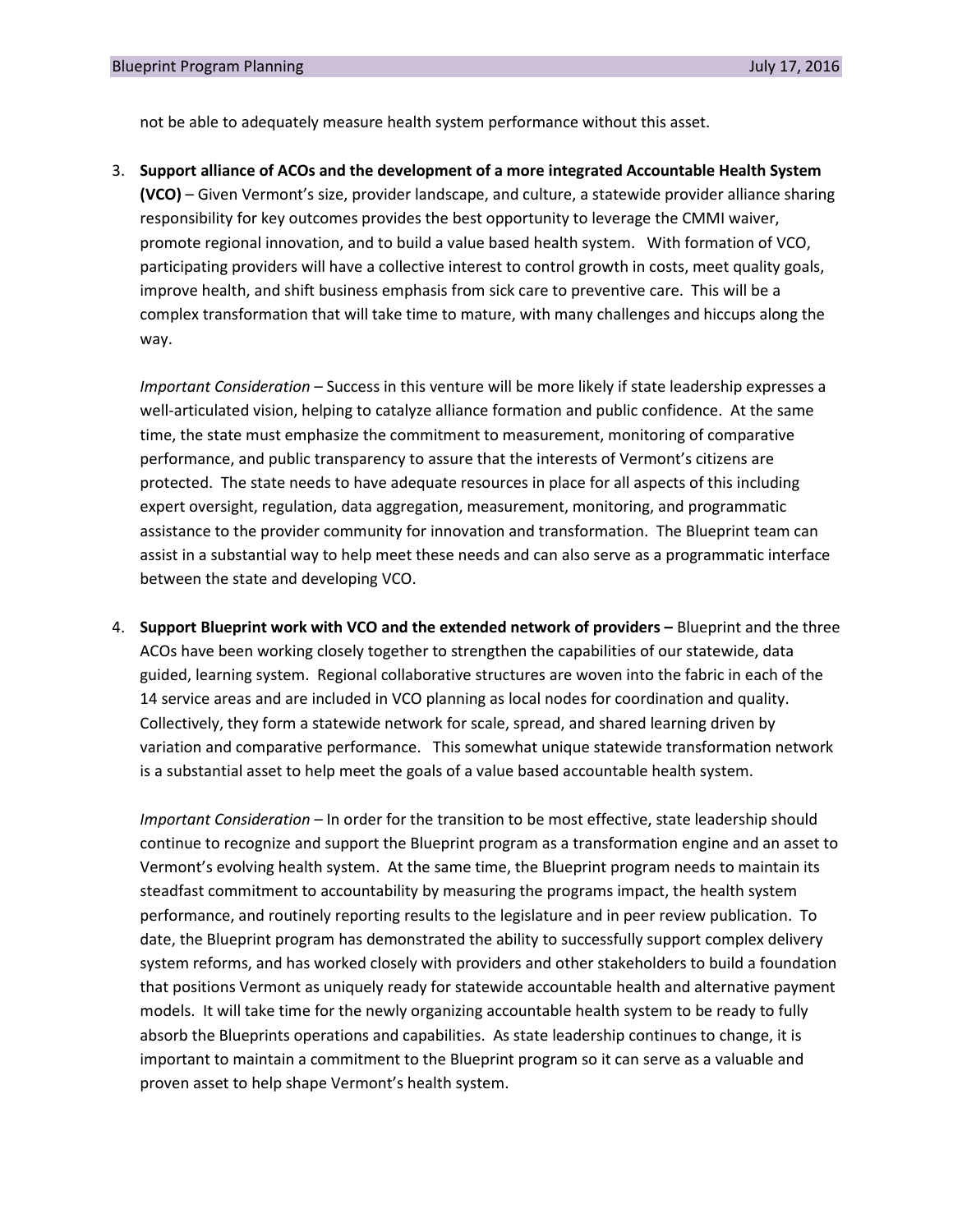not be able to adequately measure health system performance without this asset.

3. **Support alliance of ACOs and the development of a more integrated Accountable Health System (VCO)** – Given Vermont's size, provider landscape, and culture, a statewide provider alliance sharing responsibility for key outcomes provides the best opportunity to leverage the CMMI waiver, promote regional innovation, and to build a value based health system. With formation of VCO, participating providers will have a collective interest to control growth in costs, meet quality goals, improve health, and shift business emphasis from sick care to preventive care. This will be a complex transformation that will take time to mature, with many challenges and hiccups along the way.

*Important Consideration –* Success in this venture will be more likely if state leadership expresses a well-articulated vision, helping to catalyze alliance formation and public confidence. At the same time, the state must emphasize the commitment to measurement, monitoring of comparative performance, and public transparency to assure that the interests of Vermont's citizens are protected. The state needs to have adequate resources in place for all aspects of this including expert oversight, regulation, data aggregation, measurement, monitoring, and programmatic assistance to the provider community for innovation and transformation. The Blueprint team can assist in a substantial way to help meet these needs and can also serve as a programmatic interface between the state and developing VCO.

4. **Support Blueprint work with VCO and the extended network of providers –** Blueprint and the three ACOs have been working closely together to strengthen the capabilities of our statewide, data guided, learning system. Regional collaborative structures are woven into the fabric in each of the 14 service areas and are included in VCO planning as local nodes for coordination and quality. Collectively, they form a statewide network for scale, spread, and shared learning driven by variation and comparative performance. This somewhat unique statewide transformation network is a substantial asset to help meet the goals of a value based accountable health system.

*Important Consideration* – In order for the transition to be most effective, state leadership should continue to recognize and support the Blueprint program as a transformation engine and an asset to Vermont's evolving health system. At the same time, the Blueprint program needs to maintain its steadfast commitment to accountability by measuring the programs impact, the health system performance, and routinely reporting results to the legislature and in peer review publication. To date, the Blueprint program has demonstrated the ability to successfully support complex delivery system reforms, and has worked closely with providers and other stakeholders to build a foundation that positions Vermont as uniquely ready for statewide accountable health and alternative payment models. It will take time for the newly organizing accountable health system to be ready to fully absorb the Blueprints operations and capabilities. As state leadership continues to change, it is important to maintain a commitment to the Blueprint program so it can serve as a valuable and proven asset to help shape Vermont's health system.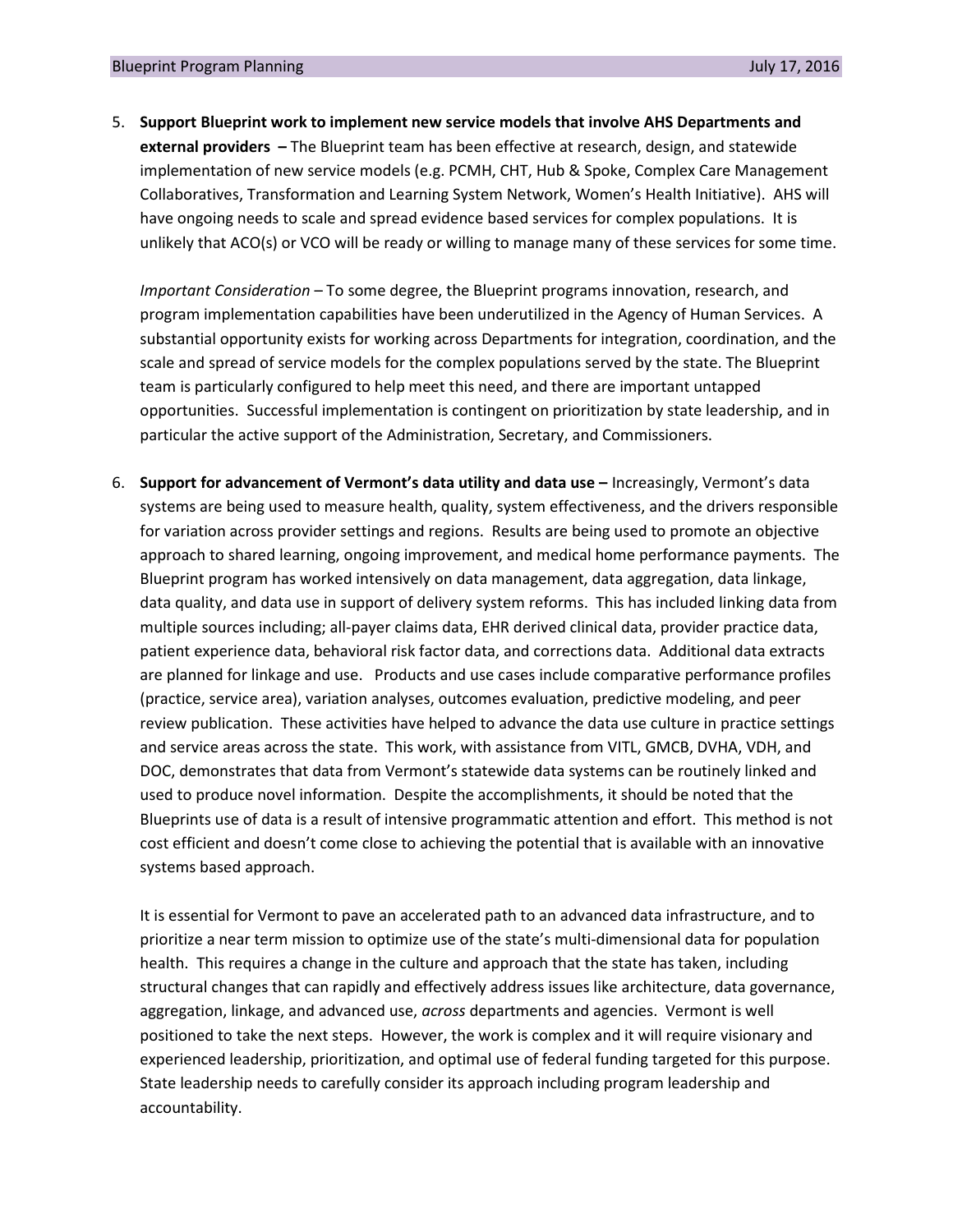5. **Support Blueprint work to implement new service models that involve AHS Departments and external providers –** The Blueprint team has been effective at research, design, and statewide implementation of new service models (e.g. PCMH, CHT, Hub & Spoke, Complex Care Management Collaboratives, Transformation and Learning System Network, Women's Health Initiative). AHS will have ongoing needs to scale and spread evidence based services for complex populations. It is unlikely that ACO(s) or VCO will be ready or willing to manage many of these services for some time.

*Important Consideration* – To some degree, the Blueprint programs innovation, research, and program implementation capabilities have been underutilized in the Agency of Human Services. A substantial opportunity exists for working across Departments for integration, coordination, and the scale and spread of service models for the complex populations served by the state. The Blueprint team is particularly configured to help meet this need, and there are important untapped opportunities. Successful implementation is contingent on prioritization by state leadership, and in particular the active support of the Administration, Secretary, and Commissioners.

6. **Support for advancement of Vermont's data utility and data use –** Increasingly, Vermont's data systems are being used to measure health, quality, system effectiveness, and the drivers responsible for variation across provider settings and regions. Results are being used to promote an objective approach to shared learning, ongoing improvement, and medical home performance payments. The Blueprint program has worked intensively on data management, data aggregation, data linkage, data quality, and data use in support of delivery system reforms. This has included linking data from multiple sources including; all-payer claims data, EHR derived clinical data, provider practice data, patient experience data, behavioral risk factor data, and corrections data. Additional data extracts are planned for linkage and use. Products and use cases include comparative performance profiles (practice, service area), variation analyses, outcomes evaluation, predictive modeling, and peer review publication. These activities have helped to advance the data use culture in practice settings and service areas across the state. This work, with assistance from VITL, GMCB, DVHA, VDH, and DOC, demonstrates that data from Vermont's statewide data systems can be routinely linked and used to produce novel information. Despite the accomplishments, it should be noted that the Blueprints use of data is a result of intensive programmatic attention and effort. This method is not cost efficient and doesn't come close to achieving the potential that is available with an innovative systems based approach.

It is essential for Vermont to pave an accelerated path to an advanced data infrastructure, and to prioritize a near term mission to optimize use of the state's multi-dimensional data for population health. This requires a change in the culture and approach that the state has taken, including structural changes that can rapidly and effectively address issues like architecture, data governance, aggregation, linkage, and advanced use, *across* departments and agencies. Vermont is well positioned to take the next steps. However, the work is complex and it will require visionary and experienced leadership, prioritization, and optimal use of federal funding targeted for this purpose. State leadership needs to carefully consider its approach including program leadership and accountability.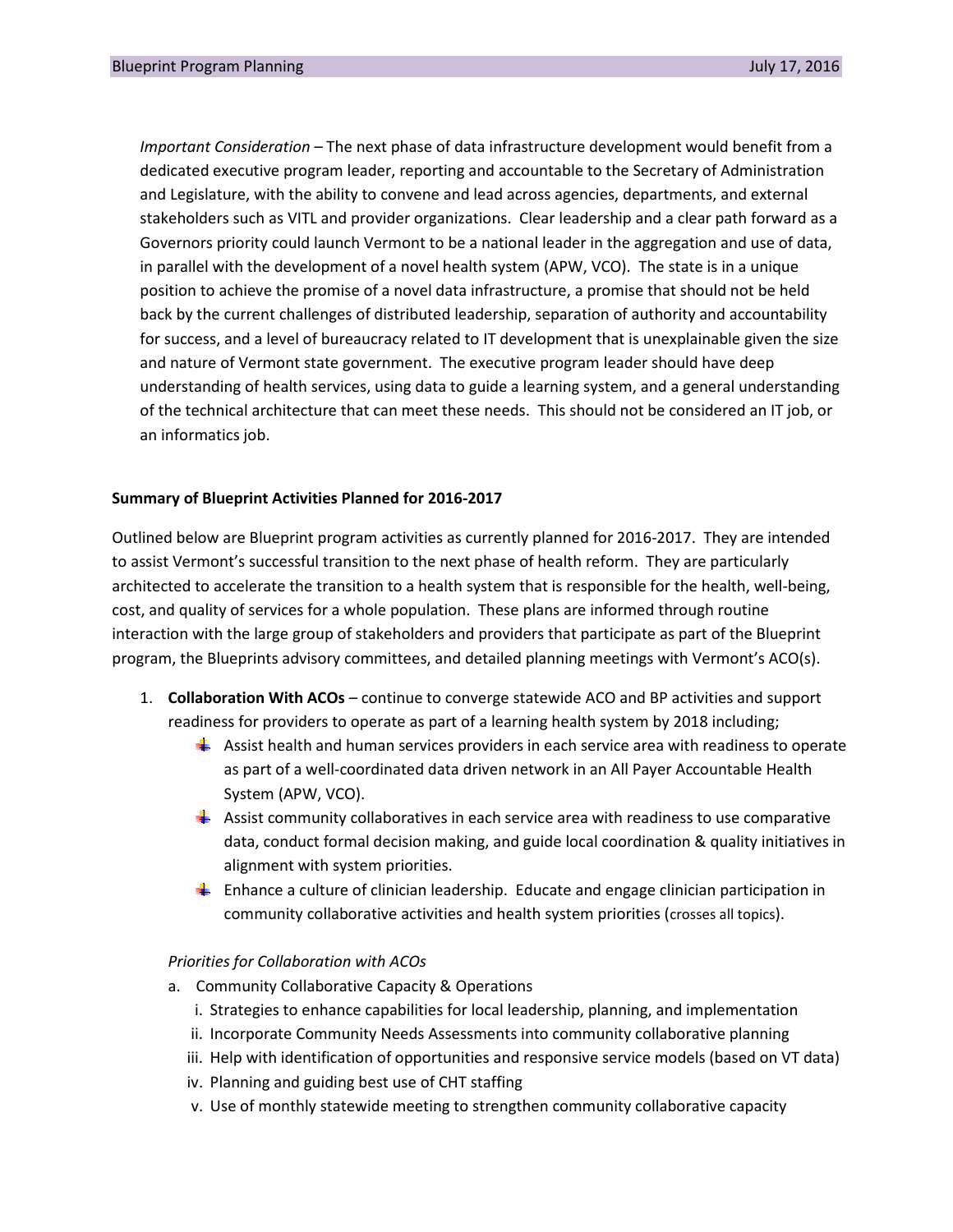*Important Consideration* – The next phase of data infrastructure development would benefit from a dedicated executive program leader, reporting and accountable to the Secretary of Administration and Legislature, with the ability to convene and lead across agencies, departments, and external stakeholders such as VITL and provider organizations. Clear leadership and a clear path forward as a Governors priority could launch Vermont to be a national leader in the aggregation and use of data, in parallel with the development of a novel health system (APW, VCO). The state is in a unique position to achieve the promise of a novel data infrastructure, a promise that should not be held back by the current challenges of distributed leadership, separation of authority and accountability for success, and a level of bureaucracy related to IT development that is unexplainable given the size and nature of Vermont state government. The executive program leader should have deep understanding of health services, using data to guide a learning system, and a general understanding of the technical architecture that can meet these needs. This should not be considered an IT job, or an informatics job.

## **Summary of Blueprint Activities Planned for 2016-2017**

Outlined below are Blueprint program activities as currently planned for 2016-2017. They are intended to assist Vermont's successful transition to the next phase of health reform. They are particularly architected to accelerate the transition to a health system that is responsible for the health, well-being, cost, and quality of services for a whole population. These plans are informed through routine interaction with the large group of stakeholders and providers that participate as part of the Blueprint program, the Blueprints advisory committees, and detailed planning meetings with Vermont's ACO(s).

- 1. **Collaboration With ACOs** continue to converge statewide ACO and BP activities and support readiness for providers to operate as part of a learning health system by 2018 including;
	- **Assist health and human services providers in each service area with readiness to operate** as part of a well-coordinated data driven network in an All Payer Accountable Health System (APW, VCO).
	- $\triangleq$  Assist community collaboratives in each service area with readiness to use comparative data, conduct formal decision making, and guide local coordination & quality initiatives in alignment with system priorities.
	- **E** Enhance a culture of clinician leadership. Educate and engage clinician participation in community collaborative activities and health system priorities (crosses all topics).

#### *Priorities for Collaboration with ACOs*

- a. Community Collaborative Capacity & Operations
	- i. Strategies to enhance capabilities for local leadership, planning, and implementation
	- ii. Incorporate Community Needs Assessments into community collaborative planning
	- iii. Help with identification of opportunities and responsive service models (based on VT data)
	- iv. Planning and guiding best use of CHT staffing
	- v. Use of monthly statewide meeting to strengthen community collaborative capacity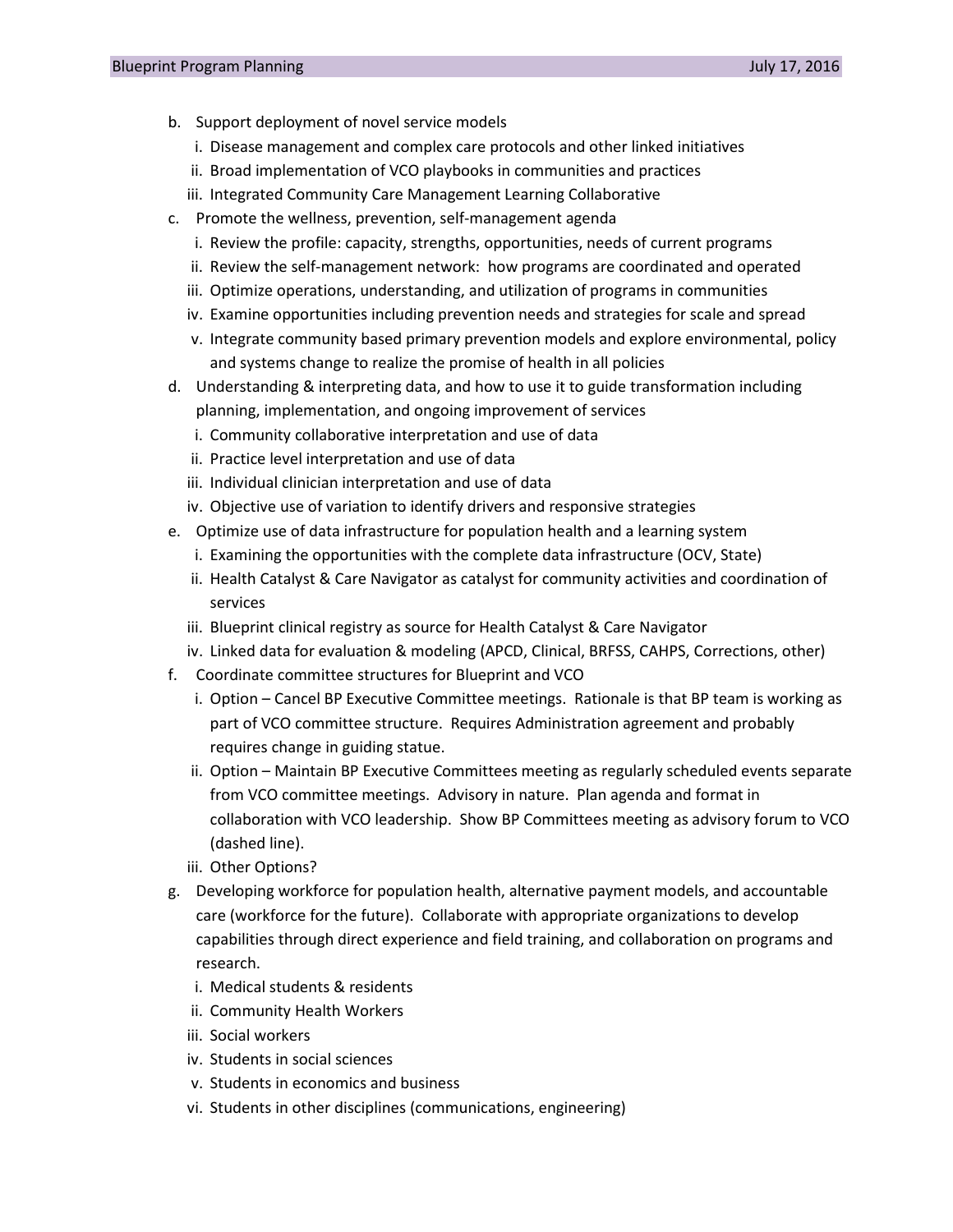- b. Support deployment of novel service models
	- i. Disease management and complex care protocols and other linked initiatives
	- ii. Broad implementation of VCO playbooks in communities and practices
	- iii. Integrated Community Care Management Learning Collaborative
- c. Promote the wellness, prevention, self-management agenda
	- i. Review the profile: capacity, strengths, opportunities, needs of current programs
	- ii. Review the self-management network: how programs are coordinated and operated
	- iii. Optimize operations, understanding, and utilization of programs in communities
	- iv. Examine opportunities including prevention needs and strategies for scale and spread
	- v. Integrate community based primary prevention models and explore environmental, policy and systems change to realize the promise of health in all policies
- d. Understanding & interpreting data, and how to use it to guide transformation including planning, implementation, and ongoing improvement of services
	- i. Community collaborative interpretation and use of data
	- ii. Practice level interpretation and use of data
	- iii. Individual clinician interpretation and use of data
	- iv. Objective use of variation to identify drivers and responsive strategies
- e. Optimize use of data infrastructure for population health and a learning system
	- i. Examining the opportunities with the complete data infrastructure (OCV, State)
	- ii. Health Catalyst & Care Navigator as catalyst for community activities and coordination of services
	- iii. Blueprint clinical registry as source for Health Catalyst & Care Navigator
	- iv. Linked data for evaluation & modeling (APCD, Clinical, BRFSS, CAHPS, Corrections, other)
- f. Coordinate committee structures for Blueprint and VCO
	- i. Option Cancel BP Executive Committee meetings. Rationale is that BP team is working as part of VCO committee structure. Requires Administration agreement and probably requires change in guiding statue.
	- ii. Option Maintain BP Executive Committees meeting as regularly scheduled events separate from VCO committee meetings. Advisory in nature. Plan agenda and format in collaboration with VCO leadership. Show BP Committees meeting as advisory forum to VCO (dashed line).
	- iii. Other Options?
- g. Developing workforce for population health, alternative payment models, and accountable care (workforce for the future). Collaborate with appropriate organizations to develop capabilities through direct experience and field training, and collaboration on programs and research.
	- i. Medical students & residents
	- ii. Community Health Workers
	- iii. Social workers
	- iv. Students in social sciences
	- v. Students in economics and business
	- vi. Students in other disciplines (communications, engineering)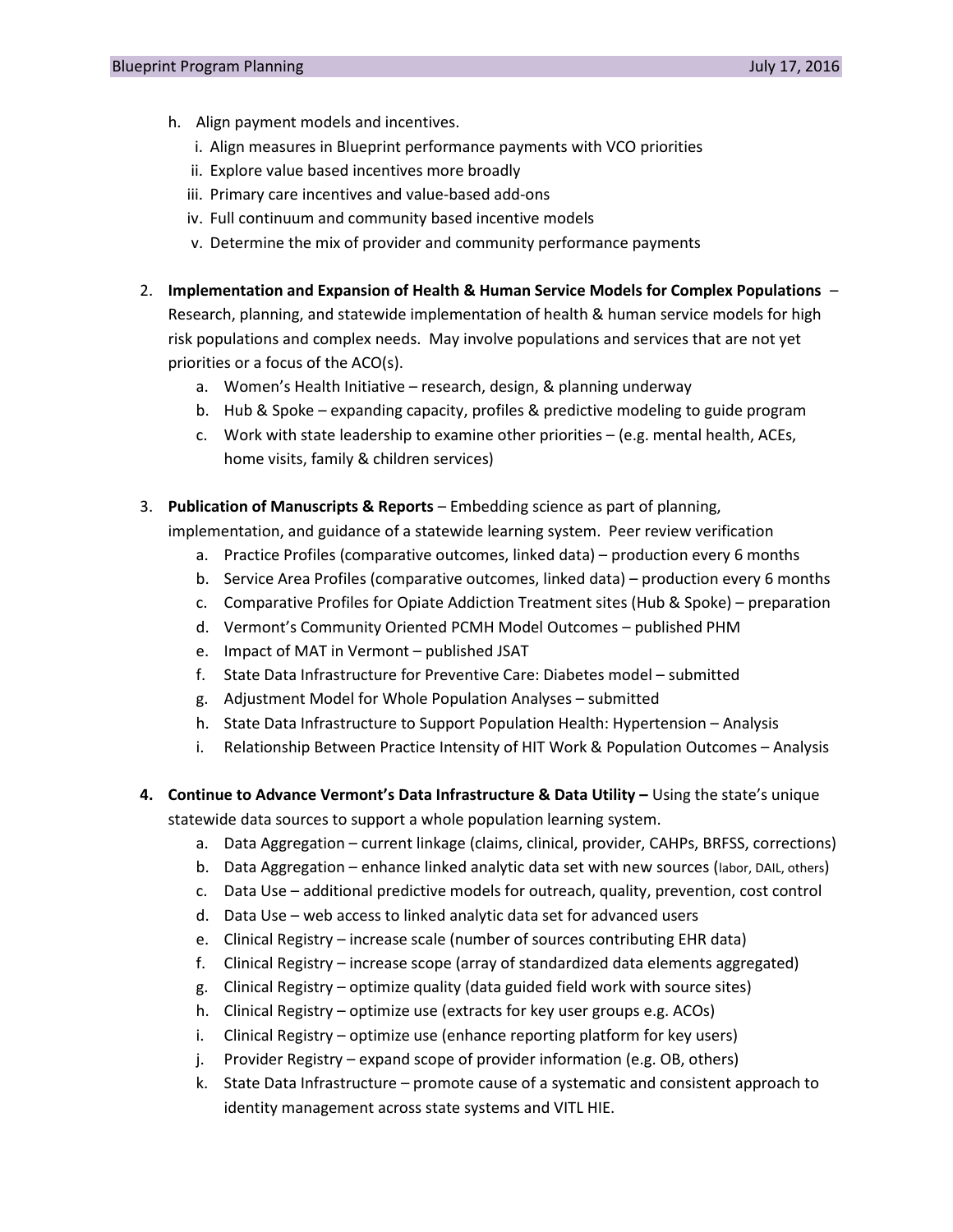- h. Align payment models and incentives.
	- i. Align measures in Blueprint performance payments with VCO priorities
	- ii. Explore value based incentives more broadly
	- iii. Primary care incentives and value-based add-ons
	- iv. Full continuum and community based incentive models
	- v. Determine the mix of provider and community performance payments
- 2. **Implementation and Expansion of Health & Human Service Models for Complex Populations** Research, planning, and statewide implementation of health & human service models for high risk populations and complex needs. May involve populations and services that are not yet priorities or a focus of the ACO(s).
	- a. Women's Health Initiative research, design, & planning underway
	- b. Hub & Spoke expanding capacity, profiles & predictive modeling to guide program
	- c. Work with state leadership to examine other priorities  $-$  (e.g. mental health, ACEs, home visits, family & children services)
- 3. **Publication of Manuscripts & Reports** Embedding science as part of planning,

implementation, and guidance of a statewide learning system. Peer review verification

- a. Practice Profiles (comparative outcomes, linked data) production every 6 months
- b. Service Area Profiles (comparative outcomes, linked data) production every 6 months
- c. Comparative Profiles for Opiate Addiction Treatment sites (Hub & Spoke) preparation
- d. Vermont's Community Oriented PCMH Model Outcomes published PHM
- e. Impact of MAT in Vermont published JSAT
- f. State Data Infrastructure for Preventive Care: Diabetes model submitted
- g. Adjustment Model for Whole Population Analyses submitted
- h. State Data Infrastructure to Support Population Health: Hypertension Analysis
- i. Relationship Between Practice Intensity of HIT Work & Population Outcomes Analysis
- **4. Continue to Advance Vermont's Data Infrastructure & Data Utility –** Using the state's unique statewide data sources to support a whole population learning system.
	- a. Data Aggregation current linkage (claims, clinical, provider, CAHPs, BRFSS, corrections)
	- b. Data Aggregation enhance linked analytic data set with new sources (labor, DAIL, others)
	- c. Data Use additional predictive models for outreach, quality, prevention, cost control
	- d. Data Use web access to linked analytic data set for advanced users
	- e. Clinical Registry increase scale (number of sources contributing EHR data)
	- f. Clinical Registry increase scope (array of standardized data elements aggregated)
	- g. Clinical Registry optimize quality (data guided field work with source sites)
	- h. Clinical Registry optimize use (extracts for key user groups e.g. ACOs)
	- i. Clinical Registry optimize use (enhance reporting platform for key users)
	- j. Provider Registry expand scope of provider information (e.g. OB, others)
	- k. State Data Infrastructure promote cause of a systematic and consistent approach to identity management across state systems and VITL HIE.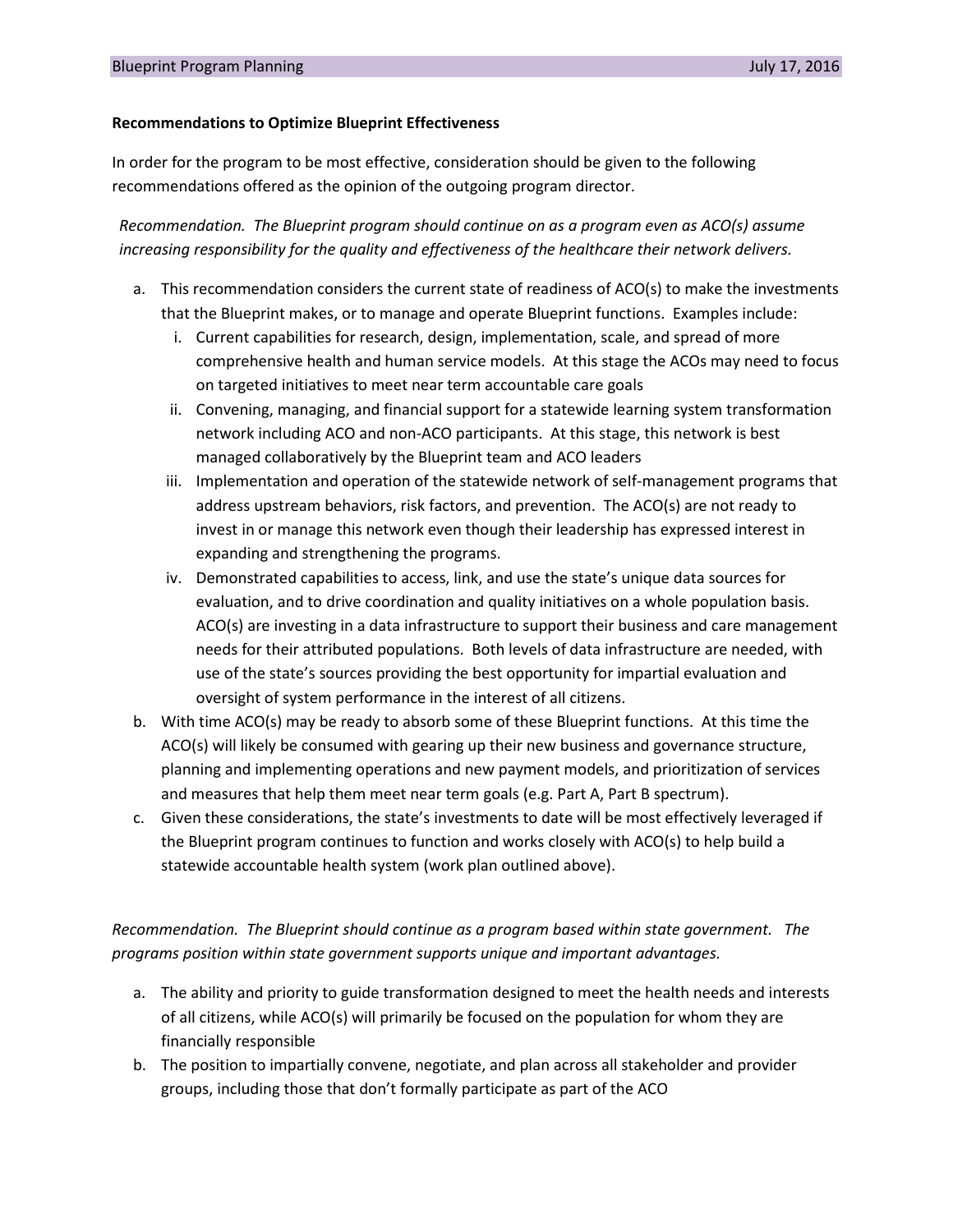### **Recommendations to Optimize Blueprint Effectiveness**

In order for the program to be most effective, consideration should be given to the following recommendations offered as the opinion of the outgoing program director.

*Recommendation. The Blueprint program should continue on as a program even as ACO(s) assume increasing responsibility for the quality and effectiveness of the healthcare their network delivers.*

- a. This recommendation considers the current state of readiness of ACO(s) to make the investments that the Blueprint makes, or to manage and operate Blueprint functions. Examples include:
	- i. Current capabilities for research, design, implementation, scale, and spread of more comprehensive health and human service models. At this stage the ACOs may need to focus on targeted initiatives to meet near term accountable care goals
	- ii. Convening, managing, and financial support for a statewide learning system transformation network including ACO and non-ACO participants. At this stage, this network is best managed collaboratively by the Blueprint team and ACO leaders
	- iii. Implementation and operation of the statewide network of seIf-management programs that address upstream behaviors, risk factors, and prevention. The ACO(s) are not ready to invest in or manage this network even though their leadership has expressed interest in expanding and strengthening the programs.
	- iv. Demonstrated capabilities to access, link, and use the state's unique data sources for evaluation, and to drive coordination and quality initiatives on a whole population basis. ACO(s) are investing in a data infrastructure to support their business and care management needs for their attributed populations. Both levels of data infrastructure are needed, with use of the state's sources providing the best opportunity for impartial evaluation and oversight of system performance in the interest of all citizens.
- b. With time ACO(s) may be ready to absorb some of these Blueprint functions. At this time the ACO(s) will likely be consumed with gearing up their new business and governance structure, planning and implementing operations and new payment models, and prioritization of services and measures that help them meet near term goals (e.g. Part A, Part B spectrum).
- c. Given these considerations, the state's investments to date will be most effectively leveraged if the Blueprint program continues to function and works closely with ACO(s) to help build a statewide accountable health system (work plan outlined above).

*Recommendation. The Blueprint should continue as a program based within state government. The programs position within state government supports unique and important advantages.*

- a. The ability and priority to guide transformation designed to meet the health needs and interests of all citizens, while ACO(s) will primarily be focused on the population for whom they are financially responsible
- b. The position to impartially convene, negotiate, and plan across all stakeholder and provider groups, including those that don't formally participate as part of the ACO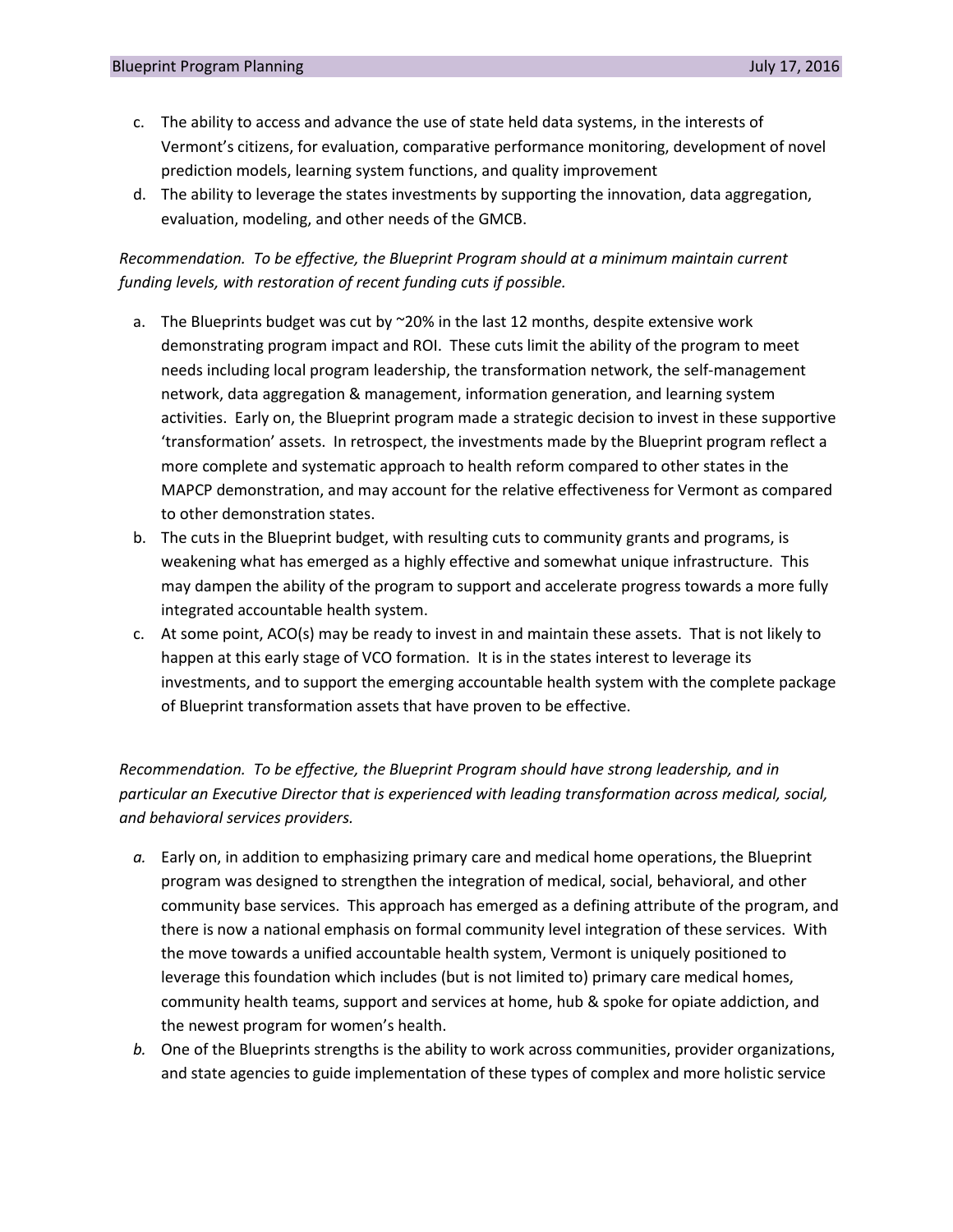- c. The ability to access and advance the use of state held data systems, in the interests of Vermont's citizens, for evaluation, comparative performance monitoring, development of novel prediction models, learning system functions, and quality improvement
- d. The ability to leverage the states investments by supporting the innovation, data aggregation, evaluation, modeling, and other needs of the GMCB.

# *Recommendation. To be effective, the Blueprint Program should at a minimum maintain current funding levels, with restoration of recent funding cuts if possible.*

- a. The Blueprints budget was cut by  $\sim$  20% in the last 12 months, despite extensive work demonstrating program impact and ROI. These cuts limit the ability of the program to meet needs including local program leadership, the transformation network, the self-management network, data aggregation & management, information generation, and learning system activities. Early on, the Blueprint program made a strategic decision to invest in these supportive 'transformation' assets. In retrospect, the investments made by the Blueprint program reflect a more complete and systematic approach to health reform compared to other states in the MAPCP demonstration, and may account for the relative effectiveness for Vermont as compared to other demonstration states.
- b. The cuts in the Blueprint budget, with resulting cuts to community grants and programs, is weakening what has emerged as a highly effective and somewhat unique infrastructure. This may dampen the ability of the program to support and accelerate progress towards a more fully integrated accountable health system.
- c. At some point, ACO(s) may be ready to invest in and maintain these assets. That is not likely to happen at this early stage of VCO formation. It is in the states interest to leverage its investments, and to support the emerging accountable health system with the complete package of Blueprint transformation assets that have proven to be effective.

*Recommendation. To be effective, the Blueprint Program should have strong leadership, and in particular an Executive Director that is experienced with leading transformation across medical, social, and behavioral services providers.*

- *a.* Early on, in addition to emphasizing primary care and medical home operations, the Blueprint program was designed to strengthen the integration of medical, social, behavioral, and other community base services. This approach has emerged as a defining attribute of the program, and there is now a national emphasis on formal community level integration of these services. With the move towards a unified accountable health system, Vermont is uniquely positioned to leverage this foundation which includes (but is not limited to) primary care medical homes, community health teams, support and services at home, hub & spoke for opiate addiction, and the newest program for women's health.
- *b.* One of the Blueprints strengths is the ability to work across communities, provider organizations, and state agencies to guide implementation of these types of complex and more holistic service